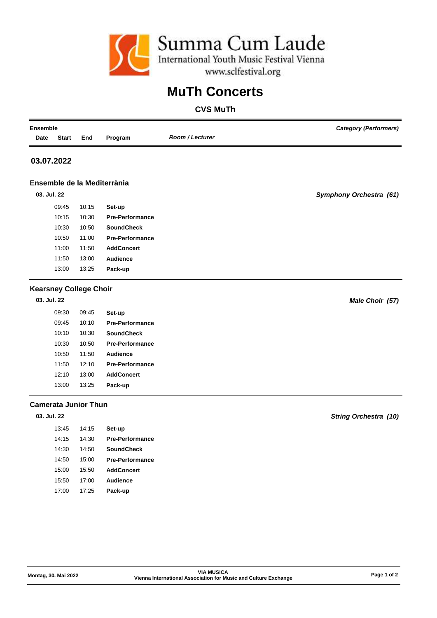

# **MuTh Concerts**

## **CVS MuTh**

| <b>Category (Performers)</b>   | <b>Ensemble</b>        |                             |                               |              |             |  |  |  |
|--------------------------------|------------------------|-----------------------------|-------------------------------|--------------|-------------|--|--|--|
|                                | <b>Room / Lecturer</b> | Program                     | End                           | <b>Start</b> | Date        |  |  |  |
|                                |                        |                             |                               |              | 03.07.2022  |  |  |  |
|                                |                        | Ensemble de la Mediterrània |                               |              |             |  |  |  |
| <b>Symphony Orchestra (61)</b> |                        |                             |                               |              | 03. Jul. 22 |  |  |  |
|                                |                        | Set-up                      | 10:15                         | 09:45        |             |  |  |  |
|                                |                        | <b>Pre-Performance</b>      | 10:30                         | 10:15        |             |  |  |  |
|                                |                        | <b>SoundCheck</b>           | 10:50                         | 10:30        |             |  |  |  |
|                                |                        | <b>Pre-Performance</b>      | 11:00                         | 10:50        |             |  |  |  |
|                                |                        | <b>AddConcert</b>           | 11:50                         | 11:00        |             |  |  |  |
|                                |                        | Audience                    | 13:00                         | 11:50        |             |  |  |  |
|                                |                        | Pack-up                     | 13:25                         | 13:00        |             |  |  |  |
|                                |                        |                             | <b>Kearsney College Choir</b> |              |             |  |  |  |
| Male Choir (57)                |                        |                             |                               |              | 03. Jul. 22 |  |  |  |
|                                |                        | Set-up                      | 09:45                         | 09:30        |             |  |  |  |
|                                |                        | <b>Pre-Performance</b>      | 10:10                         | 09:45        |             |  |  |  |
|                                |                        | <b>SoundCheck</b>           | 10:30                         | 10:10        |             |  |  |  |
|                                |                        | <b>Pre-Performance</b>      | 10:50                         | 10:30        |             |  |  |  |

#### **Camerata Junior Thun**

### **03. Jul. 22**

| Set-up                 | 14:15 | 13:45 |
|------------------------|-------|-------|
| <b>Pre-Performance</b> | 14:30 | 14:15 |
| SoundCheck             | 14:50 | 14:30 |
| <b>Pre-Performance</b> | 15:00 | 14:50 |
| <b>AddConcert</b>      | 15:50 | 15:00 |
| Audience               | 17:00 | 15:50 |
| Pack-up                | 17:25 | 17:00 |

10:50 11:50 **Audience** 11:50 12:10 **Pre-Performance** 12:10 13:00 **AddConcert** 13:00 13:25 **Pack-up**

*String Orchestra (10)*